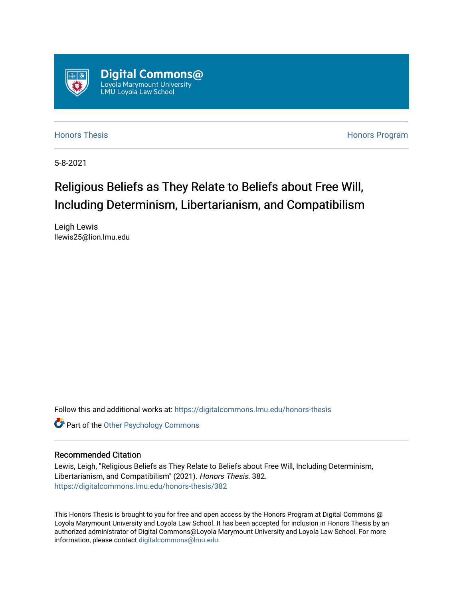

[Honors Thesis](https://digitalcommons.lmu.edu/honors-thesis) [Honors Program](https://digitalcommons.lmu.edu/lmu_honorsprogram) 

5-8-2021

# Religious Beliefs as They Relate to Beliefs about Free Will, Including Determinism, Libertarianism, and Compatibilism

Leigh Lewis llewis25@lion.lmu.edu

Follow this and additional works at: [https://digitalcommons.lmu.edu/honors-thesis](https://digitalcommons.lmu.edu/honors-thesis?utm_source=digitalcommons.lmu.edu%2Fhonors-thesis%2F382&utm_medium=PDF&utm_campaign=PDFCoverPages)

**Part of the Other Psychology Commons** 

#### Recommended Citation

Lewis, Leigh, "Religious Beliefs as They Relate to Beliefs about Free Will, Including Determinism, Libertarianism, and Compatibilism" (2021). Honors Thesis. 382. [https://digitalcommons.lmu.edu/honors-thesis/382](https://digitalcommons.lmu.edu/honors-thesis/382?utm_source=digitalcommons.lmu.edu%2Fhonors-thesis%2F382&utm_medium=PDF&utm_campaign=PDFCoverPages) 

This Honors Thesis is brought to you for free and open access by the Honors Program at Digital Commons @ Loyola Marymount University and Loyola Law School. It has been accepted for inclusion in Honors Thesis by an authorized administrator of Digital Commons@Loyola Marymount University and Loyola Law School. For more information, please contact [digitalcommons@lmu.edu.](mailto:digitalcommons@lmu.edu)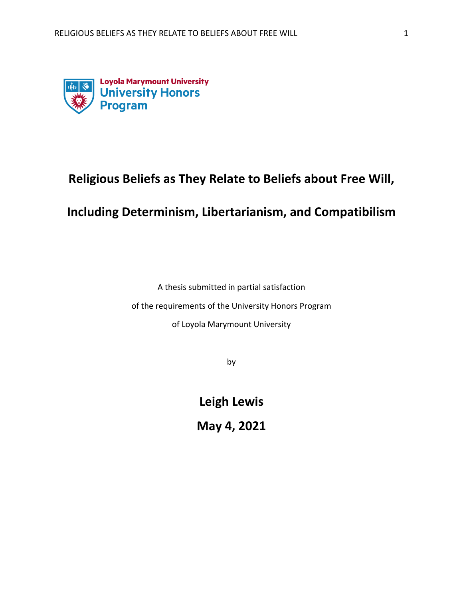

# **Religious Beliefs as They Relate to Beliefs about Free Will,**

## **Including Determinism, Libertarianism, and Compatibilism**

A thesis submitted in partial satisfaction

of the requirements of the University Honors Program

of Loyola Marymount University

by

**Leigh Lewis**

**May 4, 2021**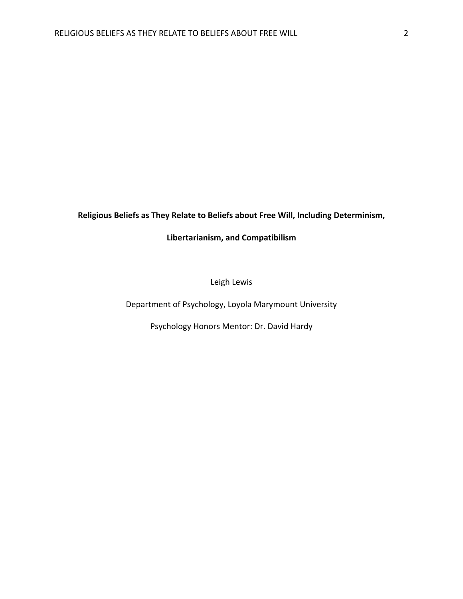## **Religious Beliefs as They Relate to Beliefs about Free Will, Including Determinism,**

### **Libertarianism, and Compatibilism**

Leigh Lewis

Department of Psychology, Loyola Marymount University

Psychology Honors Mentor: Dr. David Hardy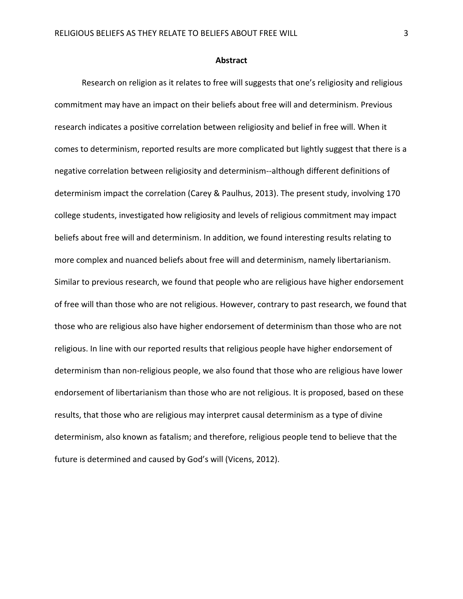#### **Abstract**

Research on religion as it relates to free will suggests that one's religiosity and religious commitment may have an impact on their beliefs about free will and determinism. Previous research indicates a positive correlation between religiosity and belief in free will. When it comes to determinism, reported results are more complicated but lightly suggest that there is a negative correlation between religiosity and determinism--although different definitions of determinism impact the correlation (Carey & Paulhus, 2013). The present study, involving 170 college students, investigated how religiosity and levels of religious commitment may impact beliefs about free will and determinism. In addition, we found interesting results relating to more complex and nuanced beliefs about free will and determinism, namely libertarianism. Similar to previous research, we found that people who are religious have higher endorsement of free will than those who are not religious. However, contrary to past research, we found that those who are religious also have higher endorsement of determinism than those who are not religious. In line with our reported results that religious people have higher endorsement of determinism than non-religious people, we also found that those who are religious have lower endorsement of libertarianism than those who are not religious. It is proposed, based on these results, that those who are religious may interpret causal determinism as a type of divine determinism, also known as fatalism; and therefore, religious people tend to believe that the future is determined and caused by God's will (Vicens, 2012).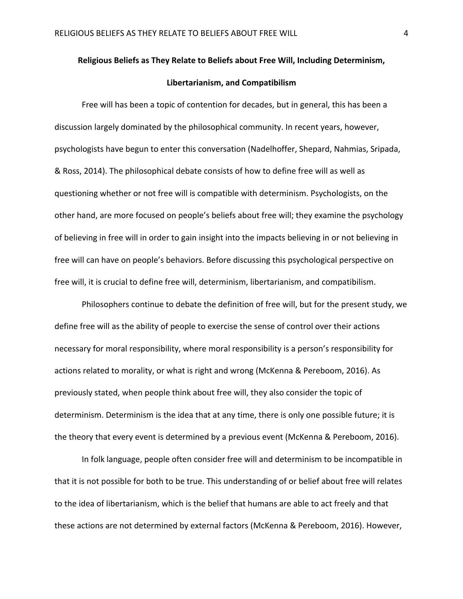#### **Religious Beliefs as They Relate to Beliefs about Free Will, Including Determinism,**

#### **Libertarianism, and Compatibilism**

Free will has been a topic of contention for decades, but in general, this has been a discussion largely dominated by the philosophical community. In recent years, however, psychologists have begun to enter this conversation (Nadelhoffer, Shepard, Nahmias, Sripada, & Ross, 2014). The philosophical debate consists of how to define free will as well as questioning whether or not free will is compatible with determinism. Psychologists, on the other hand, are more focused on people's beliefs about free will; they examine the psychology of believing in free will in order to gain insight into the impacts believing in or not believing in free will can have on people's behaviors. Before discussing this psychological perspective on free will, it is crucial to define free will, determinism, libertarianism, and compatibilism.

Philosophers continue to debate the definition of free will, but for the present study, we define free will as the ability of people to exercise the sense of control over their actions necessary for moral responsibility, where moral responsibility is a person's responsibility for actions related to morality, or what is right and wrong (McKenna & Pereboom, 2016). As previously stated, when people think about free will, they also consider the topic of determinism. Determinism is the idea that at any time, there is only one possible future; it is the theory that every event is determined by a previous event (McKenna & Pereboom, 2016).

In folk language, people often consider free will and determinism to be incompatible in that it is not possible for both to be true. This understanding of or belief about free will relates to the idea of libertarianism, which is the belief that humans are able to act freely and that these actions are not determined by external factors (McKenna & Pereboom, 2016). However,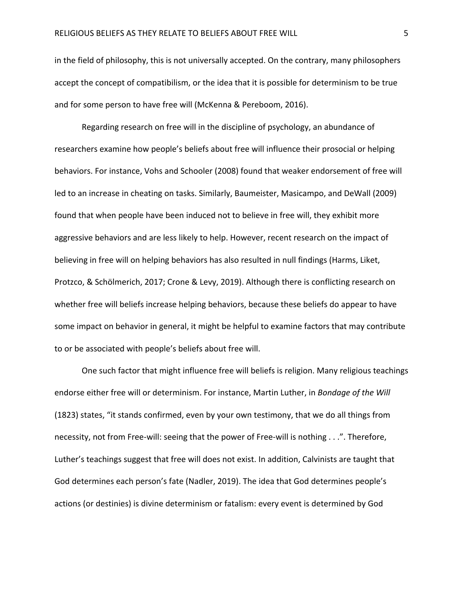in the field of philosophy, this is not universally accepted. On the contrary, many philosophers accept the concept of compatibilism, or the idea that it is possible for determinism to be true and for some person to have free will (McKenna & Pereboom, 2016).

Regarding research on free will in the discipline of psychology, an abundance of researchers examine how people's beliefs about free will influence their prosocial or helping behaviors. For instance, Vohs and Schooler (2008) found that weaker endorsement of free will led to an increase in cheating on tasks. Similarly, Baumeister, Masicampo, and DeWall (2009) found that when people have been induced not to believe in free will, they exhibit more aggressive behaviors and are less likely to help. However, recent research on the impact of believing in free will on helping behaviors has also resulted in null findings (Harms, Liket, Protzco, & Schölmerich, 2017; Crone & Levy, 2019). Although there is conflicting research on whether free will beliefs increase helping behaviors, because these beliefs do appear to have some impact on behavior in general, it might be helpful to examine factors that may contribute to or be associated with people's beliefs about free will.

One such factor that might influence free will beliefs is religion. Many religious teachings endorse either free will or determinism. For instance, Martin Luther, in *Bondage of the Will*  (1823) states, "it stands confirmed, even by your own testimony, that we do all things from necessity, not from Free-will: seeing that the power of Free-will is nothing . . .". Therefore, Luther's teachings suggest that free will does not exist. In addition, Calvinists are taught that God determines each person's fate (Nadler, 2019). The idea that God determines people's actions (or destinies) is divine determinism or fatalism: every event is determined by God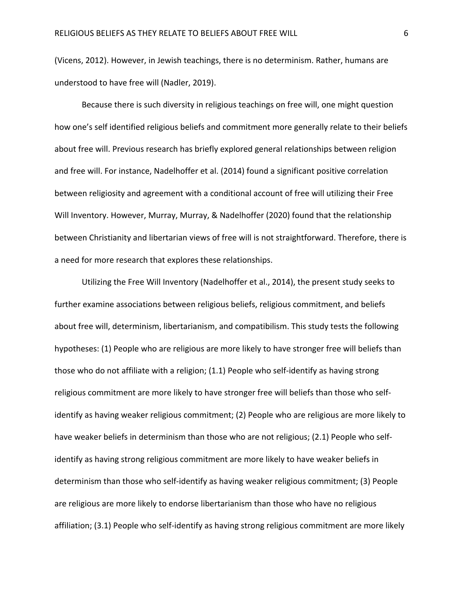(Vicens, 2012). However, in Jewish teachings, there is no determinism. Rather, humans are understood to have free will (Nadler, 2019).

Because there is such diversity in religious teachings on free will, one might question how one's self identified religious beliefs and commitment more generally relate to their beliefs about free will. Previous research has briefly explored general relationships between religion and free will. For instance, Nadelhoffer et al. (2014) found a significant positive correlation between religiosity and agreement with a conditional account of free will utilizing their Free Will Inventory. However, Murray, Murray, & Nadelhoffer (2020) found that the relationship between Christianity and libertarian views of free will is not straightforward. Therefore, there is a need for more research that explores these relationships.

Utilizing the Free Will Inventory (Nadelhoffer et al., 2014), the present study seeks to further examine associations between religious beliefs, religious commitment, and beliefs about free will, determinism, libertarianism, and compatibilism. This study tests the following hypotheses: (1) People who are religious are more likely to have stronger free will beliefs than those who do not affiliate with a religion; (1.1) People who self-identify as having strong religious commitment are more likely to have stronger free will beliefs than those who selfidentify as having weaker religious commitment; (2) People who are religious are more likely to have weaker beliefs in determinism than those who are not religious; (2.1) People who selfidentify as having strong religious commitment are more likely to have weaker beliefs in determinism than those who self-identify as having weaker religious commitment; (3) People are religious are more likely to endorse libertarianism than those who have no religious affiliation; (3.1) People who self-identify as having strong religious commitment are more likely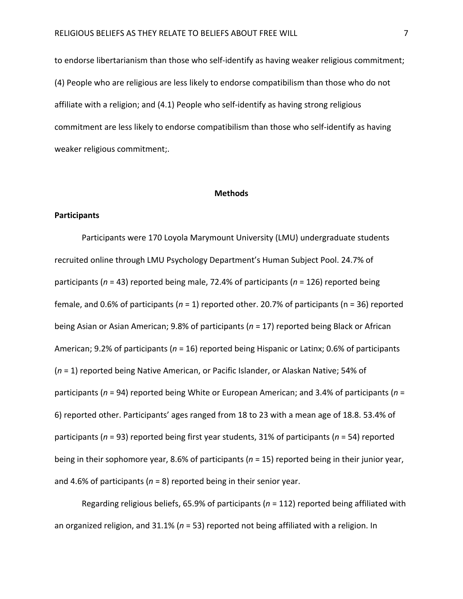to endorse libertarianism than those who self-identify as having weaker religious commitment; (4) People who are religious are less likely to endorse compatibilism than those who do not affiliate with a religion; and (4.1) People who self-identify as having strong religious commitment are less likely to endorse compatibilism than those who self-identify as having weaker religious commitment;.

#### **Methods**

#### **Participants**

Participants were 170 Loyola Marymount University (LMU) undergraduate students recruited online through LMU Psychology Department's Human Subject Pool. 24.7% of participants (*n* = 43) reported being male, 72.4% of participants (*n* = 126) reported being female, and 0.6% of participants (*n* = 1) reported other. 20.7% of participants (n = 36) reported being Asian or Asian American; 9.8% of participants (*n* = 17) reported being Black or African American; 9.2% of participants (*n* = 16) reported being Hispanic or Latinx; 0.6% of participants (*n* = 1) reported being Native American, or Pacific Islander, or Alaskan Native; 54% of participants (*n* = 94) reported being White or European American; and 3.4% of participants (*n* = 6) reported other. Participants' ages ranged from 18 to 23 with a mean age of 18.8. 53.4% of participants (*n* = 93) reported being first year students, 31% of participants (*n* = 54) reported being in their sophomore year, 8.6% of participants (*n* = 15) reported being in their junior year, and 4.6% of participants (*n* = 8) reported being in their senior year.

Regarding religious beliefs, 65.9% of participants (*n* = 112) reported being affiliated with an organized religion, and 31.1% (*n* = 53) reported not being affiliated with a religion. In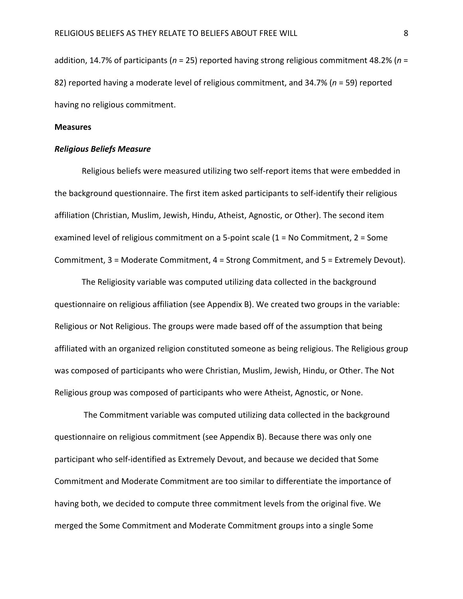addition, 14.7% of participants (*n* = 25) reported having strong religious commitment 48.2% (*n* = 82) reported having a moderate level of religious commitment, and 34.7% (*n* = 59) reported having no religious commitment.

#### **Measures**

#### *Religious Beliefs Measure*

Religious beliefs were measured utilizing two self-report items that were embedded in the background questionnaire. The first item asked participants to self-identify their religious affiliation (Christian, Muslim, Jewish, Hindu, Atheist, Agnostic, or Other). The second item examined level of religious commitment on a 5-point scale (1 = No Commitment, 2 = Some Commitment, 3 = Moderate Commitment, 4 = Strong Commitment, and 5 = Extremely Devout).

The Religiosity variable was computed utilizing data collected in the background questionnaire on religious affiliation (see Appendix B). We created two groups in the variable: Religious or Not Religious. The groups were made based off of the assumption that being affiliated with an organized religion constituted someone as being religious. The Religious group was composed of participants who were Christian, Muslim, Jewish, Hindu, or Other. The Not Religious group was composed of participants who were Atheist, Agnostic, or None.

The Commitment variable was computed utilizing data collected in the background questionnaire on religious commitment (see Appendix B). Because there was only one participant who self-identified as Extremely Devout, and because we decided that Some Commitment and Moderate Commitment are too similar to differentiate the importance of having both, we decided to compute three commitment levels from the original five. We merged the Some Commitment and Moderate Commitment groups into a single Some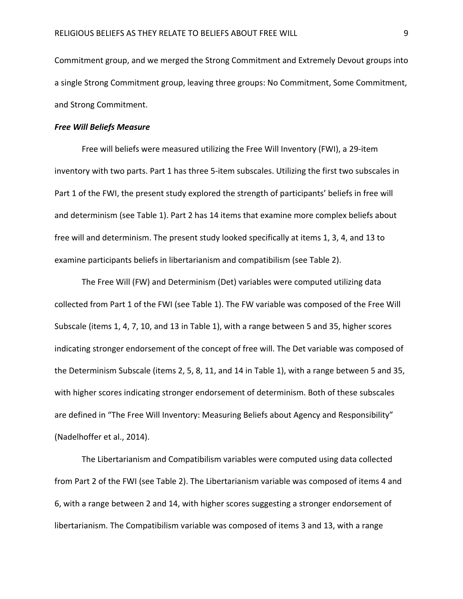Commitment group, and we merged the Strong Commitment and Extremely Devout groups into a single Strong Commitment group, leaving three groups: No Commitment, Some Commitment, and Strong Commitment.

#### *Free Will Beliefs Measure*

Free will beliefs were measured utilizing the Free Will Inventory (FWI), a 29-item inventory with two parts. Part 1 has three 5-item subscales. Utilizing the first two subscales in Part 1 of the FWI, the present study explored the strength of participants' beliefs in free will and determinism (see Table 1). Part 2 has 14 items that examine more complex beliefs about free will and determinism. The present study looked specifically at items 1, 3, 4, and 13 to examine participants beliefs in libertarianism and compatibilism (see Table 2).

The Free Will (FW) and Determinism (Det) variables were computed utilizing data collected from Part 1 of the FWI (see Table 1). The FW variable was composed of the Free Will Subscale (items 1, 4, 7, 10, and 13 in Table 1), with a range between 5 and 35, higher scores indicating stronger endorsement of the concept of free will. The Det variable was composed of the Determinism Subscale (items 2, 5, 8, 11, and 14 in Table 1), with a range between 5 and 35, with higher scores indicating stronger endorsement of determinism. Both of these subscales are defined in "The Free Will Inventory: Measuring Beliefs about Agency and Responsibility" (Nadelhoffer et al., 2014).

The Libertarianism and Compatibilism variables were computed using data collected from Part 2 of the FWI (see Table 2). The Libertarianism variable was composed of items 4 and 6, with a range between 2 and 14, with higher scores suggesting a stronger endorsement of libertarianism. The Compatibilism variable was composed of items 3 and 13, with a range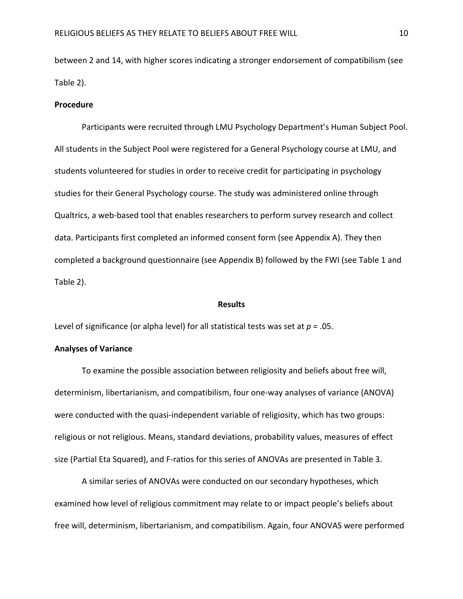between 2 and 14, with higher scores indicating a stronger endorsement of compatibilism (see Table 2).

#### **Procedure**

Participants were recruited through LMU Psychology Department's Human Subject Pool. All students in the Subject Pool were registered for a General Psychology course at LMU, and students volunteered for studies in order to receive credit for participating in psychology studies for their General Psychology course. The study was administered online through Qualtrics, a web-based tool that enables researchers to perform survey research and collect data. Participants first completed an informed consent form (see Appendix A). They then completed a background questionnaire (see Appendix B) followed by the FWI (see Table 1 and Table 2).

#### **Results**

Level of significance (or alpha level) for all statistical tests was set at *p* = .05.

#### **Analyses of Variance**

To examine the possible association between religiosity and beliefs about free will, determinism, libertarianism, and compatibilism, four one-way analyses of variance (ANOVA) were conducted with the quasi-independent variable of religiosity, which has two groups: religious or not religious. Means, standard deviations, probability values, measures of effect size (Partial Eta Squared), and F-ratios for this series of ANOVAs are presented in Table 3.

A similar series of ANOVAs were conducted on our secondary hypotheses, which examined how level of religious commitment may relate to or impact people's beliefs about free will, determinism, libertarianism, and compatibilism. Again, four ANOVAS were performed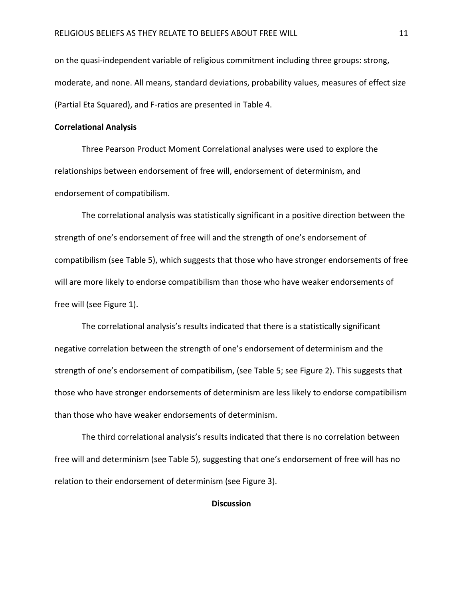on the quasi-independent variable of religious commitment including three groups: strong, moderate, and none. All means, standard deviations, probability values, measures of effect size (Partial Eta Squared), and F-ratios are presented in Table 4.

#### **Correlational Analysis**

Three Pearson Product Moment Correlational analyses were used to explore the relationships between endorsement of free will, endorsement of determinism, and endorsement of compatibilism.

The correlational analysis was statistically significant in a positive direction between the strength of one's endorsement of free will and the strength of one's endorsement of compatibilism (see Table 5), which suggests that those who have stronger endorsements of free will are more likely to endorse compatibilism than those who have weaker endorsements of free will (see Figure 1).

The correlational analysis's results indicated that there is a statistically significant negative correlation between the strength of one's endorsement of determinism and the strength of one's endorsement of compatibilism, (see Table 5; see Figure 2). This suggests that those who have stronger endorsements of determinism are less likely to endorse compatibilism than those who have weaker endorsements of determinism.

The third correlational analysis's results indicated that there is no correlation between free will and determinism (see Table 5), suggesting that one's endorsement of free will has no relation to their endorsement of determinism (see Figure 3).

#### **Discussion**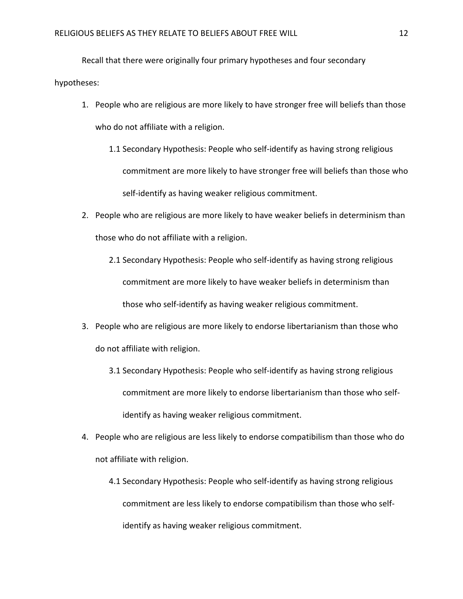Recall that there were originally four primary hypotheses and four secondary hypotheses:

- 1. People who are religious are more likely to have stronger free will beliefs than those who do not affiliate with a religion.
	- 1.1 Secondary Hypothesis: People who self-identify as having strong religious commitment are more likely to have stronger free will beliefs than those who self-identify as having weaker religious commitment.
- 2. People who are religious are more likely to have weaker beliefs in determinism than those who do not affiliate with a religion.
	- 2.1 Secondary Hypothesis: People who self-identify as having strong religious commitment are more likely to have weaker beliefs in determinism than those who self-identify as having weaker religious commitment.
- 3. People who are religious are more likely to endorse libertarianism than those who do not affiliate with religion.
	- 3.1 Secondary Hypothesis: People who self-identify as having strong religious commitment are more likely to endorse libertarianism than those who selfidentify as having weaker religious commitment.
- 4. People who are religious are less likely to endorse compatibilism than those who do not affiliate with religion.
	- 4.1 Secondary Hypothesis: People who self-identify as having strong religious commitment are less likely to endorse compatibilism than those who selfidentify as having weaker religious commitment.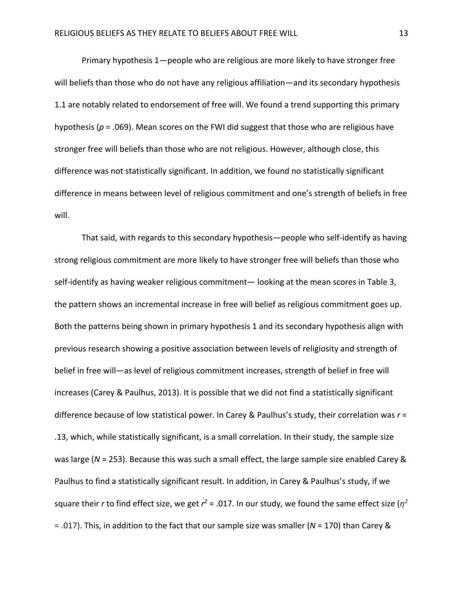Primary hypothesis 1—people who are religious are more likely to have stronger free will beliefs than those who do not have any religious affiliation—and its secondary hypothesis 1.1 are notably related to endorsement of free will. We found a trend supporting this primary hypothesis (*p* = .069). Mean scores on the FWI did suggest that those who are religious have stronger free will beliefs than those who are not religious. However, although close, this difference was not statistically significant. In addition, we found no statistically significant difference in means between level of religious commitment and one's strength of beliefs in free will.

That said, with regards to this secondary hypothesis—people who self-identify as having strong religious commitment are more likely to have stronger free will beliefs than those who self-identify as having weaker religious commitment— looking at the mean scores in Table 3, the pattern shows an incremental increase in free will belief as religious commitment goes up. Both the patterns being shown in primary hypothesis 1 and its secondary hypothesis align with previous research showing a positive association between levels of religiosity and strength of belief in free will—as level of religious commitment increases, strength of belief in free will increases (Carey & Paulhus, 2013). It is possible that we did not find a statistically significant difference because of low statistical power. In Carey & Paulhus's study, their correlation was *r* = .13, which, while statistically significant, is a small correlation. In their study, the sample size was large (*N* = 253). Because this was such a small effect, the large sample size enabled Carey & Paulhus to find a statistically significant result. In addition, in Carey & Paulhus's study, if we square their *r* to find effect size, we get  $r^2$  = .017. In our study, we found the same effect size ( $n^2$ = .017). This, in addition to the fact that our sample size was smaller (*N* = 170) than Carey &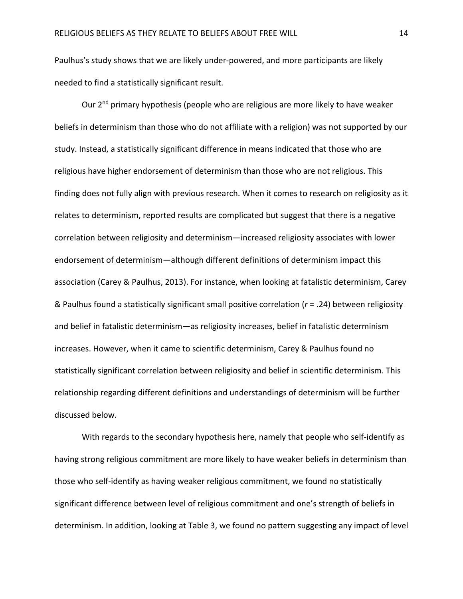Paulhus's study shows that we are likely under-powered, and more participants are likely needed to find a statistically significant result.

Our 2<sup>nd</sup> primary hypothesis (people who are religious are more likely to have weaker beliefs in determinism than those who do not affiliate with a religion) was not supported by our study. Instead, a statistically significant difference in means indicated that those who are religious have higher endorsement of determinism than those who are not religious. This finding does not fully align with previous research. When it comes to research on religiosity as it relates to determinism, reported results are complicated but suggest that there is a negative correlation between religiosity and determinism—increased religiosity associates with lower endorsement of determinism—although different definitions of determinism impact this association (Carey & Paulhus, 2013). For instance, when looking at fatalistic determinism, Carey & Paulhus found a statistically significant small positive correlation (*r* = .24) between religiosity and belief in fatalistic determinism—as religiosity increases, belief in fatalistic determinism increases. However, when it came to scientific determinism, Carey & Paulhus found no statistically significant correlation between religiosity and belief in scientific determinism. This relationship regarding different definitions and understandings of determinism will be further discussed below.

With regards to the secondary hypothesis here, namely that people who self-identify as having strong religious commitment are more likely to have weaker beliefs in determinism than those who self-identify as having weaker religious commitment, we found no statistically significant difference between level of religious commitment and one's strength of beliefs in determinism. In addition, looking at Table 3, we found no pattern suggesting any impact of level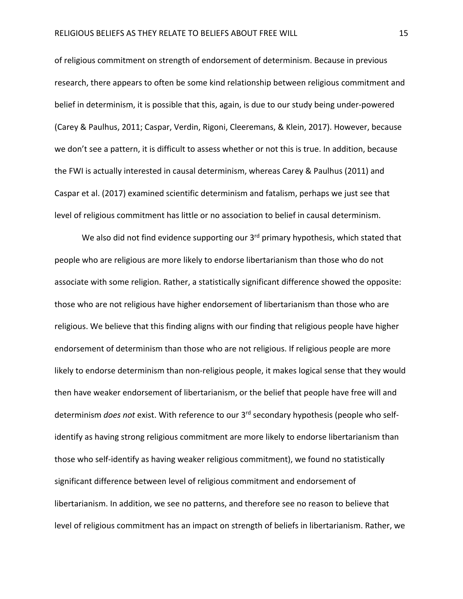of religious commitment on strength of endorsement of determinism. Because in previous research, there appears to often be some kind relationship between religious commitment and belief in determinism, it is possible that this, again, is due to our study being under-powered (Carey & Paulhus, 2011; Caspar, Verdin, Rigoni, Cleeremans, & Klein, 2017). However, because we don't see a pattern, it is difficult to assess whether or not this is true. In addition, because the FWI is actually interested in causal determinism, whereas Carey & Paulhus (2011) and Caspar et al. (2017) examined scientific determinism and fatalism, perhaps we just see that level of religious commitment has little or no association to belief in causal determinism.

We also did not find evidence supporting our 3<sup>rd</sup> primary hypothesis, which stated that people who are religious are more likely to endorse libertarianism than those who do not associate with some religion. Rather, a statistically significant difference showed the opposite: those who are not religious have higher endorsement of libertarianism than those who are religious. We believe that this finding aligns with our finding that religious people have higher endorsement of determinism than those who are not religious. If religious people are more likely to endorse determinism than non-religious people, it makes logical sense that they would then have weaker endorsement of libertarianism, or the belief that people have free will and determinism *does not* exist. With reference to our 3rd secondary hypothesis (people who selfidentify as having strong religious commitment are more likely to endorse libertarianism than those who self-identify as having weaker religious commitment), we found no statistically significant difference between level of religious commitment and endorsement of libertarianism. In addition, we see no patterns, and therefore see no reason to believe that level of religious commitment has an impact on strength of beliefs in libertarianism. Rather, we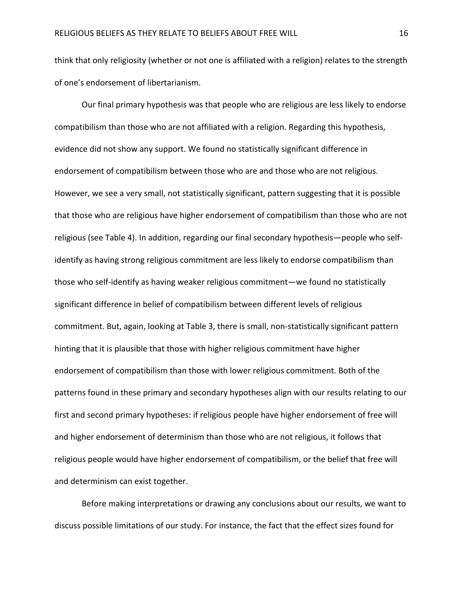think that only religiosity (whether or not one is affiliated with a religion) relates to the strength of one's endorsement of libertarianism.

Our final primary hypothesis was that people who are religious are less likely to endorse compatibilism than those who are not affiliated with a religion. Regarding this hypothesis, evidence did not show any support. We found no statistically significant difference in endorsement of compatibilism between those who are and those who are not religious. However, we see a very small, not statistically significant, pattern suggesting that it is possible that those who are religious have higher endorsement of compatibilism than those who are not religious (see Table 4). In addition, regarding our final secondary hypothesis—people who selfidentify as having strong religious commitment are less likely to endorse compatibilism than those who self-identify as having weaker religious commitment—we found no statistically significant difference in belief of compatibilism between different levels of religious commitment. But, again, looking at Table 3, there is small, non-statistically significant pattern hinting that it is plausible that those with higher religious commitment have higher endorsement of compatibilism than those with lower religious commitment. Both of the patterns found in these primary and secondary hypotheses align with our results relating to our first and second primary hypotheses: if religious people have higher endorsement of free will and higher endorsement of determinism than those who are not religious, it follows that religious people would have higher endorsement of compatibilism, or the belief that free will and determinism can exist together.

Before making interpretations or drawing any conclusions about our results, we want to discuss possible limitations of our study. For instance, the fact that the effect sizes found for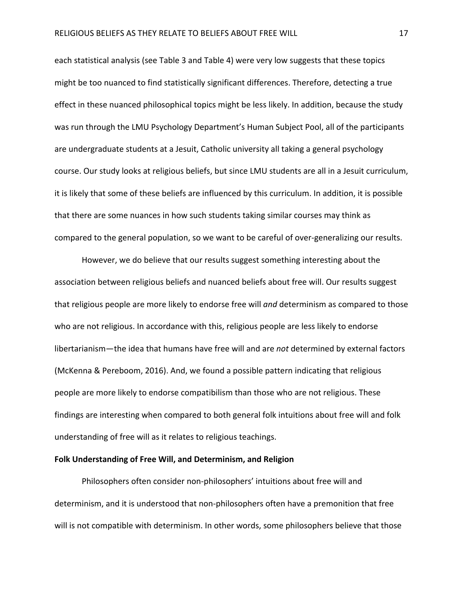each statistical analysis (see Table 3 and Table 4) were very low suggests that these topics might be too nuanced to find statistically significant differences. Therefore, detecting a true effect in these nuanced philosophical topics might be less likely. In addition, because the study was run through the LMU Psychology Department's Human Subject Pool, all of the participants are undergraduate students at a Jesuit, Catholic university all taking a general psychology course. Our study looks at religious beliefs, but since LMU students are all in a Jesuit curriculum, it is likely that some of these beliefs are influenced by this curriculum. In addition, it is possible that there are some nuances in how such students taking similar courses may think as compared to the general population, so we want to be careful of over-generalizing our results.

However, we do believe that our results suggest something interesting about the association between religious beliefs and nuanced beliefs about free will. Our results suggest that religious people are more likely to endorse free will *and* determinism as compared to those who are not religious. In accordance with this, religious people are less likely to endorse libertarianism—the idea that humans have free will and are *not* determined by external factors (McKenna & Pereboom, 2016). And, we found a possible pattern indicating that religious people are more likely to endorse compatibilism than those who are not religious. These findings are interesting when compared to both general folk intuitions about free will and folk understanding of free will as it relates to religious teachings.

#### **Folk Understanding of Free Will, and Determinism, and Religion**

Philosophers often consider non-philosophers' intuitions about free will and determinism, and it is understood that non-philosophers often have a premonition that free will is not compatible with determinism. In other words, some philosophers believe that those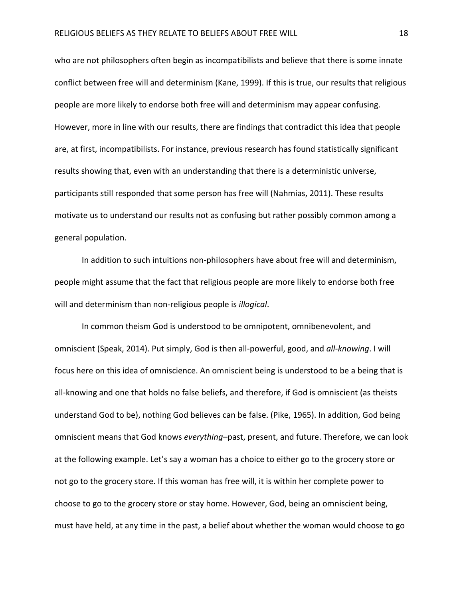who are not philosophers often begin as incompatibilists and believe that there is some innate conflict between free will and determinism (Kane, 1999). If this is true, our results that religious people are more likely to endorse both free will and determinism may appear confusing. However, more in line with our results, there are findings that contradict this idea that people are, at first, incompatibilists. For instance, previous research has found statistically significant results showing that, even with an understanding that there is a deterministic universe, participants still responded that some person has free will (Nahmias, 2011). These results motivate us to understand our results not as confusing but rather possibly common among a general population.

In addition to such intuitions non-philosophers have about free will and determinism, people might assume that the fact that religious people are more likely to endorse both free will and determinism than non-religious people is *illogical*.

In common theism God is understood to be omnipotent, omnibenevolent, and omniscient (Speak, 2014). Put simply, God is then all-powerful, good, and *all-knowing*. I will focus here on this idea of omniscience. An omniscient being is understood to be a being that is all-knowing and one that holds no false beliefs, and therefore, if God is omniscient (as theists understand God to be), nothing God believes can be false. (Pike, 1965). In addition, God being omniscient means that God knows *everything*–past, present, and future. Therefore, we can look at the following example. Let's say a woman has a choice to either go to the grocery store or not go to the grocery store. If this woman has free will, it is within her complete power to choose to go to the grocery store or stay home. However, God, being an omniscient being, must have held, at any time in the past, a belief about whether the woman would choose to go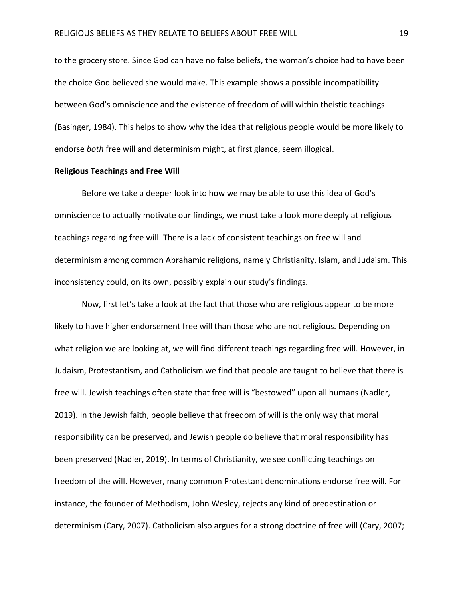to the grocery store. Since God can have no false beliefs, the woman's choice had to have been the choice God believed she would make. This example shows a possible incompatibility between God's omniscience and the existence of freedom of will within theistic teachings (Basinger, 1984). This helps to show why the idea that religious people would be more likely to endorse *both* free will and determinism might, at first glance, seem illogical.

#### **Religious Teachings and Free Will**

Before we take a deeper look into how we may be able to use this idea of God's omniscience to actually motivate our findings, we must take a look more deeply at religious teachings regarding free will. There is a lack of consistent teachings on free will and determinism among common Abrahamic religions, namely Christianity, Islam, and Judaism. This inconsistency could, on its own, possibly explain our study's findings.

Now, first let's take a look at the fact that those who are religious appear to be more likely to have higher endorsement free will than those who are not religious. Depending on what religion we are looking at, we will find different teachings regarding free will. However, in Judaism, Protestantism, and Catholicism we find that people are taught to believe that there is free will. Jewish teachings often state that free will is "bestowed" upon all humans (Nadler, 2019). In the Jewish faith, people believe that freedom of will is the only way that moral responsibility can be preserved, and Jewish people do believe that moral responsibility has been preserved (Nadler, 2019). In terms of Christianity, we see conflicting teachings on freedom of the will. However, many common Protestant denominations endorse free will. For instance, the founder of Methodism, John Wesley, rejects any kind of predestination or determinism (Cary, 2007). Catholicism also argues for a strong doctrine of free will (Cary, 2007;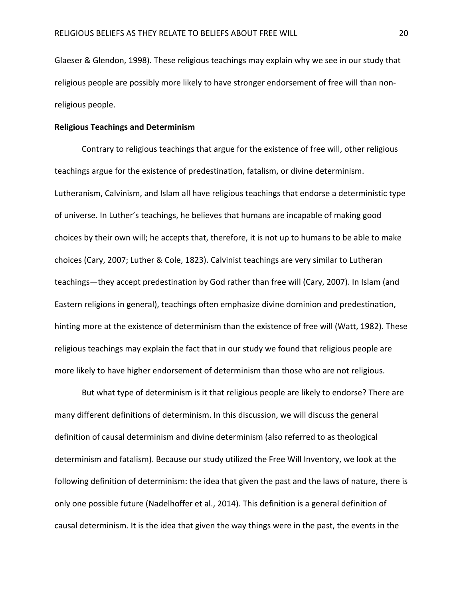Glaeser & Glendon, 1998). These religious teachings may explain why we see in our study that religious people are possibly more likely to have stronger endorsement of free will than nonreligious people.

#### **Religious Teachings and Determinism**

Contrary to religious teachings that argue for the existence of free will, other religious teachings argue for the existence of predestination, fatalism, or divine determinism. Lutheranism, Calvinism, and Islam all have religious teachings that endorse a deterministic type of universe. In Luther's teachings, he believes that humans are incapable of making good choices by their own will; he accepts that, therefore, it is not up to humans to be able to make choices (Cary, 2007; Luther & Cole, 1823). Calvinist teachings are very similar to Lutheran teachings—they accept predestination by God rather than free will (Cary, 2007). In Islam (and Eastern religions in general), teachings often emphasize divine dominion and predestination, hinting more at the existence of determinism than the existence of free will (Watt, 1982). These religious teachings may explain the fact that in our study we found that religious people are more likely to have higher endorsement of determinism than those who are not religious.

But what type of determinism is it that religious people are likely to endorse? There are many different definitions of determinism. In this discussion, we will discuss the general definition of causal determinism and divine determinism (also referred to as theological determinism and fatalism). Because our study utilized the Free Will Inventory, we look at the following definition of determinism: the idea that given the past and the laws of nature, there is only one possible future (Nadelhoffer et al., 2014). This definition is a general definition of causal determinism. It is the idea that given the way things were in the past, the events in the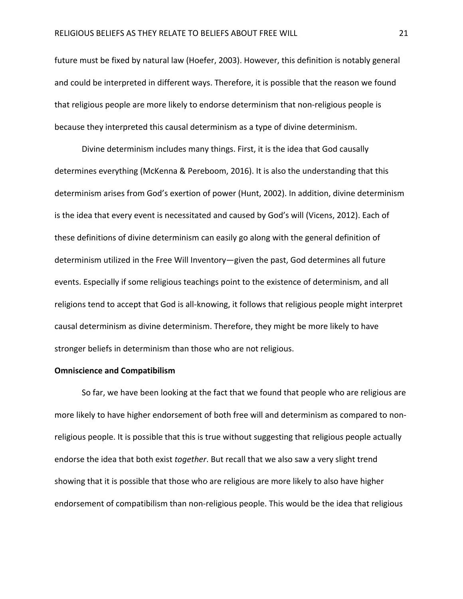future must be fixed by natural law (Hoefer, 2003). However, this definition is notably general and could be interpreted in different ways. Therefore, it is possible that the reason we found that religious people are more likely to endorse determinism that non-religious people is because they interpreted this causal determinism as a type of divine determinism.

Divine determinism includes many things. First, it is the idea that God causally determines everything (McKenna & Pereboom, 2016). It is also the understanding that this determinism arises from God's exertion of power (Hunt, 2002). In addition, divine determinism is the idea that every event is necessitated and caused by God's will (Vicens, 2012). Each of these definitions of divine determinism can easily go along with the general definition of determinism utilized in the Free Will Inventory—given the past, God determines all future events. Especially if some religious teachings point to the existence of determinism, and all religions tend to accept that God is all-knowing, it follows that religious people might interpret causal determinism as divine determinism. Therefore, they might be more likely to have stronger beliefs in determinism than those who are not religious.

#### **Omniscience and Compatibilism**

So far, we have been looking at the fact that we found that people who are religious are more likely to have higher endorsement of both free will and determinism as compared to nonreligious people. It is possible that this is true without suggesting that religious people actually endorse the idea that both exist *together*. But recall that we also saw a very slight trend showing that it is possible that those who are religious are more likely to also have higher endorsement of compatibilism than non-religious people. This would be the idea that religious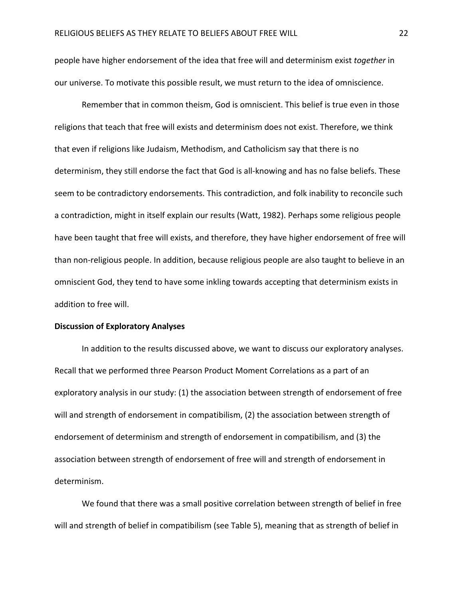people have higher endorsement of the idea that free will and determinism exist *together* in our universe. To motivate this possible result, we must return to the idea of omniscience.

Remember that in common theism, God is omniscient. This belief is true even in those religions that teach that free will exists and determinism does not exist. Therefore, we think that even if religions like Judaism, Methodism, and Catholicism say that there is no determinism, they still endorse the fact that God is all-knowing and has no false beliefs. These seem to be contradictory endorsements. This contradiction, and folk inability to reconcile such a contradiction, might in itself explain our results (Watt, 1982). Perhaps some religious people have been taught that free will exists, and therefore, they have higher endorsement of free will than non-religious people. In addition, because religious people are also taught to believe in an omniscient God, they tend to have some inkling towards accepting that determinism exists in addition to free will.

#### **Discussion of Exploratory Analyses**

In addition to the results discussed above, we want to discuss our exploratory analyses. Recall that we performed three Pearson Product Moment Correlations as a part of an exploratory analysis in our study: (1) the association between strength of endorsement of free will and strength of endorsement in compatibilism, (2) the association between strength of endorsement of determinism and strength of endorsement in compatibilism, and (3) the association between strength of endorsement of free will and strength of endorsement in determinism.

We found that there was a small positive correlation between strength of belief in free will and strength of belief in compatibilism (see Table 5), meaning that as strength of belief in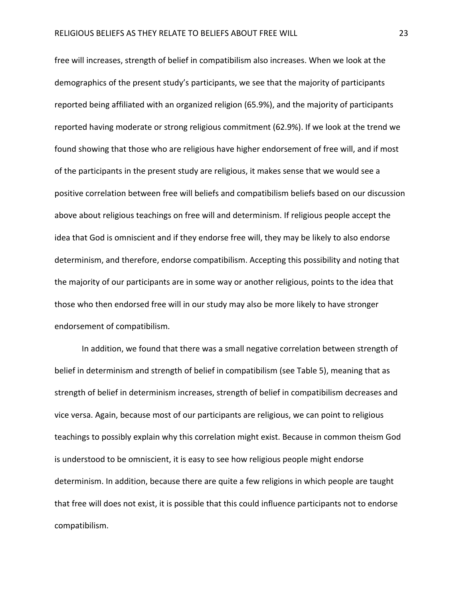free will increases, strength of belief in compatibilism also increases. When we look at the demographics of the present study's participants, we see that the majority of participants reported being affiliated with an organized religion (65.9%), and the majority of participants reported having moderate or strong religious commitment (62.9%). If we look at the trend we found showing that those who are religious have higher endorsement of free will, and if most of the participants in the present study are religious, it makes sense that we would see a positive correlation between free will beliefs and compatibilism beliefs based on our discussion above about religious teachings on free will and determinism. If religious people accept the idea that God is omniscient and if they endorse free will, they may be likely to also endorse determinism, and therefore, endorse compatibilism. Accepting this possibility and noting that the majority of our participants are in some way or another religious, points to the idea that those who then endorsed free will in our study may also be more likely to have stronger endorsement of compatibilism.

In addition, we found that there was a small negative correlation between strength of belief in determinism and strength of belief in compatibilism (see Table 5), meaning that as strength of belief in determinism increases, strength of belief in compatibilism decreases and vice versa. Again, because most of our participants are religious, we can point to religious teachings to possibly explain why this correlation might exist. Because in common theism God is understood to be omniscient, it is easy to see how religious people might endorse determinism. In addition, because there are quite a few religions in which people are taught that free will does not exist, it is possible that this could influence participants not to endorse compatibilism.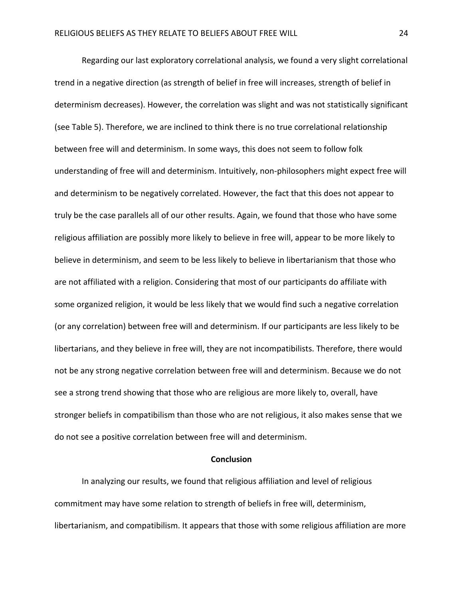Regarding our last exploratory correlational analysis, we found a very slight correlational trend in a negative direction (as strength of belief in free will increases, strength of belief in determinism decreases). However, the correlation was slight and was not statistically significant (see Table 5). Therefore, we are inclined to think there is no true correlational relationship between free will and determinism. In some ways, this does not seem to follow folk understanding of free will and determinism. Intuitively, non-philosophers might expect free will and determinism to be negatively correlated. However, the fact that this does not appear to truly be the case parallels all of our other results. Again, we found that those who have some religious affiliation are possibly more likely to believe in free will, appear to be more likely to believe in determinism, and seem to be less likely to believe in libertarianism that those who are not affiliated with a religion. Considering that most of our participants do affiliate with some organized religion, it would be less likely that we would find such a negative correlation (or any correlation) between free will and determinism. If our participants are less likely to be libertarians, and they believe in free will, they are not incompatibilists. Therefore, there would not be any strong negative correlation between free will and determinism. Because we do not see a strong trend showing that those who are religious are more likely to, overall, have stronger beliefs in compatibilism than those who are not religious, it also makes sense that we do not see a positive correlation between free will and determinism.

#### **Conclusion**

In analyzing our results, we found that religious affiliation and level of religious commitment may have some relation to strength of beliefs in free will, determinism, libertarianism, and compatibilism. It appears that those with some religious affiliation are more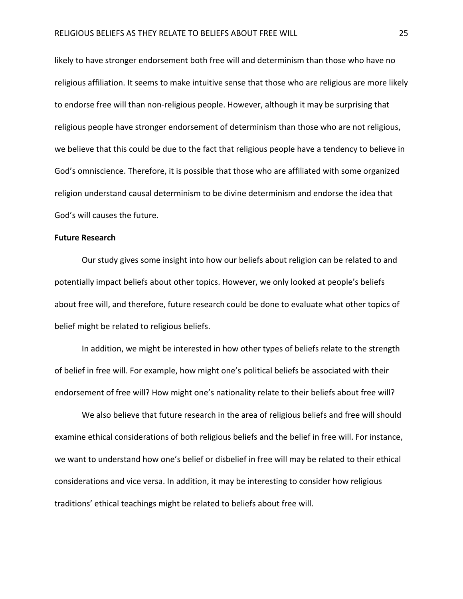likely to have stronger endorsement both free will and determinism than those who have no religious affiliation. It seems to make intuitive sense that those who are religious are more likely to endorse free will than non-religious people. However, although it may be surprising that religious people have stronger endorsement of determinism than those who are not religious, we believe that this could be due to the fact that religious people have a tendency to believe in God's omniscience. Therefore, it is possible that those who are affiliated with some organized religion understand causal determinism to be divine determinism and endorse the idea that God's will causes the future.

#### **Future Research**

Our study gives some insight into how our beliefs about religion can be related to and potentially impact beliefs about other topics. However, we only looked at people's beliefs about free will, and therefore, future research could be done to evaluate what other topics of belief might be related to religious beliefs.

In addition, we might be interested in how other types of beliefs relate to the strength of belief in free will. For example, how might one's political beliefs be associated with their endorsement of free will? How might one's nationality relate to their beliefs about free will?

We also believe that future research in the area of religious beliefs and free will should examine ethical considerations of both religious beliefs and the belief in free will. For instance, we want to understand how one's belief or disbelief in free will may be related to their ethical considerations and vice versa. In addition, it may be interesting to consider how religious traditions' ethical teachings might be related to beliefs about free will.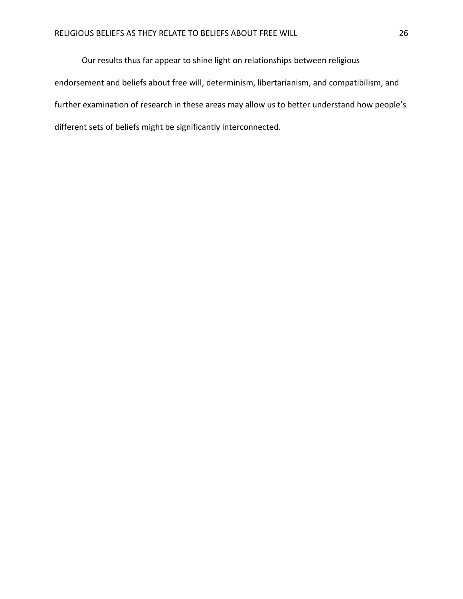Our results thus far appear to shine light on relationships between religious endorsement and beliefs about free will, determinism, libertarianism, and compatibilism, and further examination of research in these areas may allow us to better understand how people's different sets of beliefs might be significantly interconnected.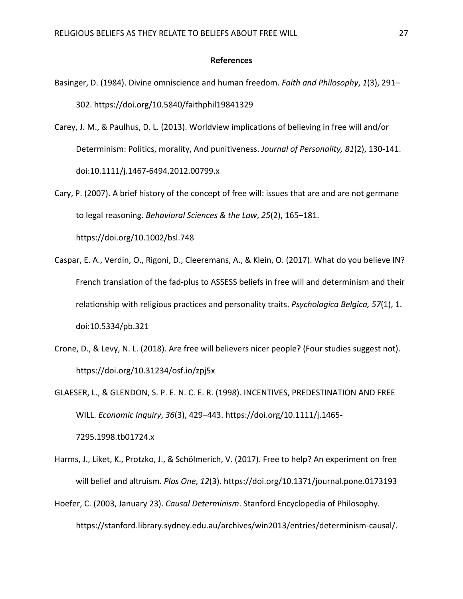#### **References**

- Basinger, D. (1984). Divine omniscience and human freedom. *Faith and Philosophy*, *1*(3), 291– 302. https://doi.org/10.5840/faithphil19841329
- Carey, J. M., & Paulhus, D. L. (2013). Worldview implications of believing in free will and/or Determinism: Politics, morality, And punitiveness. *Journal of Personality, 81*(2), 130-141. doi:10.1111/j.1467-6494.2012.00799.x
- Cary, P. (2007). A brief history of the concept of free will: issues that are and are not germane to legal reasoning. *Behavioral Sciences & the Law*, *25*(2), 165–181.

https://doi.org/10.1002/bsl.748

- Caspar, E. A., Verdin, O., Rigoni, D., Cleeremans, A., & Klein, O. (2017). What do you believe IN? French translation of the fad-plus to ASSESS beliefs in free will and determinism and their relationship with religious practices and personality traits. *Psychologica Belgica, 57*(1), 1. doi:10.5334/pb.321
- Crone, D., & Levy, N. L. (2018). Are free will believers nicer people? (Four studies suggest not). https://doi.org/10.31234/osf.io/zpj5x

GLAESER, L., & GLENDON, S. P. E. N. C. E. R. (1998). INCENTIVES, PREDESTINATION AND FREE WILL. *Economic Inquiry*, *36*(3), 429–443. https://doi.org/10.1111/j.1465- 7295.1998.tb01724.x

- Harms, J., Liket, K., Protzko, J., & Schölmerich, V. (2017). Free to help? An experiment on free will belief and altruism. *Plos One*, *12*(3). https://doi.org/10.1371/journal.pone.0173193
- Hoefer, C. (2003, January 23). *Causal Determinism*. Stanford Encyclopedia of Philosophy. https://stanford.library.sydney.edu.au/archives/win2013/entries/determinism-causal/.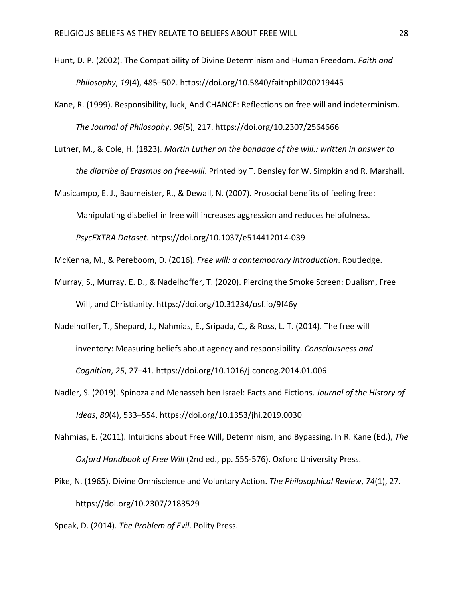- Hunt, D. P. (2002). The Compatibility of Divine Determinism and Human Freedom. *Faith and Philosophy*, *19*(4), 485–502. https://doi.org/10.5840/faithphil200219445
- Kane, R. (1999). Responsibility, luck, And CHANCE: Reflections on free will and indeterminism. *The Journal of Philosophy*, *96*(5), 217. https://doi.org/10.2307/2564666
- Luther, M., & Cole, H. (1823). *Martin Luther on the bondage of the will.: written in answer to the diatribe of Erasmus on free-will*. Printed by T. Bensley for W. Simpkin and R. Marshall.
- Masicampo, E. J., Baumeister, R., & Dewall, N. (2007). Prosocial benefits of feeling free: Manipulating disbelief in free will increases aggression and reduces helpfulness. *PsycEXTRA Dataset*. https://doi.org/10.1037/e514412014-039
- McKenna, M., & Pereboom, D. (2016). *Free will: a contemporary introduction*. Routledge.
- Murray, S., Murray, E. D., & Nadelhoffer, T. (2020). Piercing the Smoke Screen: Dualism, Free Will, and Christianity. https://doi.org/10.31234/osf.io/9f46y
- Nadelhoffer, T., Shepard, J., Nahmias, E., Sripada, C., & Ross, L. T. (2014). The free will inventory: Measuring beliefs about agency and responsibility. *Consciousness and Cognition*, *25*, 27–41. https://doi.org/10.1016/j.concog.2014.01.006
- Nadler, S. (2019). Spinoza and Menasseh ben Israel: Facts and Fictions. *Journal of the History of Ideas*, *80*(4), 533–554. https://doi.org/10.1353/jhi.2019.0030
- Nahmias, E. (2011). Intuitions about Free Will, Determinism, and Bypassing. In R. Kane (Ed.), *The Oxford Handbook of Free Will* (2nd ed., pp. 555-576). Oxford University Press.
- Pike, N. (1965). Divine Omniscience and Voluntary Action. *The Philosophical Review*, *74*(1), 27. https://doi.org/10.2307/2183529
- Speak, D. (2014). *The Problem of Evil*. Polity Press.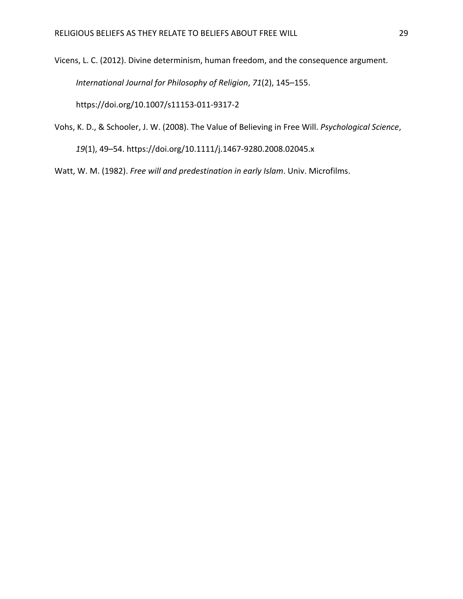Vicens, L. C. (2012). Divine determinism, human freedom, and the consequence argument. *International Journal for Philosophy of Religion*, *71*(2), 145–155. https://doi.org/10.1007/s11153-011-9317-2

Vohs, K. D., & Schooler, J. W. (2008). The Value of Believing in Free Will. *Psychological Science*, *19*(1), 49–54. https://doi.org/10.1111/j.1467-9280.2008.02045.x

Watt, W. M. (1982). *Free will and predestination in early Islam*. Univ. Microfilms.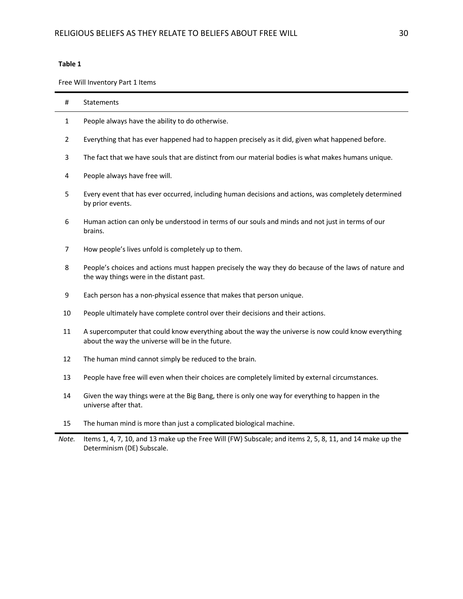Free Will Inventory Part 1 Items

| #  | Statements                                                                                                                                              |
|----|---------------------------------------------------------------------------------------------------------------------------------------------------------|
| 1  | People always have the ability to do otherwise.                                                                                                         |
| 2  | Everything that has ever happened had to happen precisely as it did, given what happened before.                                                        |
| 3  | The fact that we have souls that are distinct from our material bodies is what makes humans unique.                                                     |
| 4  | People always have free will.                                                                                                                           |
| 5  | Every event that has ever occurred, including human decisions and actions, was completely determined<br>by prior events.                                |
| 6  | Human action can only be understood in terms of our souls and minds and not just in terms of our<br>brains.                                             |
| 7  | How people's lives unfold is completely up to them.                                                                                                     |
| 8  | People's choices and actions must happen precisely the way they do because of the laws of nature and<br>the way things were in the distant past.        |
| 9  | Each person has a non-physical essence that makes that person unique.                                                                                   |
| 10 | People ultimately have complete control over their decisions and their actions.                                                                         |
| 11 | A supercomputer that could know everything about the way the universe is now could know everything<br>about the way the universe will be in the future. |
| 12 | The human mind cannot simply be reduced to the brain.                                                                                                   |
| 13 | People have free will even when their choices are completely limited by external circumstances.                                                         |
| 14 | Given the way things were at the Big Bang, there is only one way for everything to happen in the<br>universe after that.                                |
| 15 | The human mind is more than just a complicated biological machine.                                                                                      |

*Note.* Items 1, 4, 7, 10, and 13 make up the Free Will (FW) Subscale; and items 2, 5, 8, 11, and 14 make up the Determinism (DE) Subscale.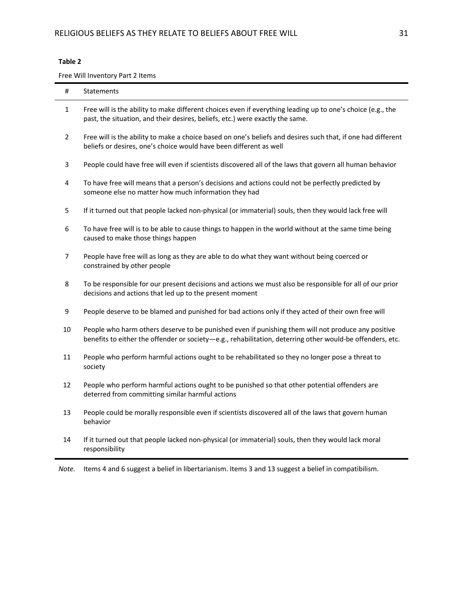Free Will Inventory Part 2 Items

| #     | Statements                                                                                                                                                                                                      |
|-------|-----------------------------------------------------------------------------------------------------------------------------------------------------------------------------------------------------------------|
| 1     | Free will is the ability to make different choices even if everything leading up to one's choice (e.g., the<br>past, the situation, and their desires, beliefs, etc.) were exactly the same.                    |
| 2     | Free will is the ability to make a choice based on one's beliefs and desires such that, if one had different<br>beliefs or desires, one's choice would have been different as well                              |
| 3     | People could have free will even if scientists discovered all of the laws that govern all human behavior                                                                                                        |
| 4     | To have free will means that a person's decisions and actions could not be perfectly predicted by<br>someone else no matter how much information they had                                                       |
| 5     | If it turned out that people lacked non-physical (or immaterial) souls, then they would lack free will                                                                                                          |
| 6     | To have free will is to be able to cause things to happen in the world without at the same time being<br>caused to make those things happen                                                                     |
| 7     | People have free will as long as they are able to do what they want without being coerced or<br>constrained by other people                                                                                     |
| 8     | To be responsible for our present decisions and actions we must also be responsible for all of our prior<br>decisions and actions that led up to the present moment                                             |
| 9     | People deserve to be blamed and punished for bad actions only if they acted of their own free will                                                                                                              |
| 10    | People who harm others deserve to be punished even if punishing them will not produce any positive<br>benefits to either the offender or society-e.g., rehabilitation, deterring other would-be offenders, etc. |
| 11    | People who perform harmful actions ought to be rehabilitated so they no longer pose a threat to<br>society                                                                                                      |
| 12    | People who perform harmful actions ought to be punished so that other potential offenders are<br>deterred from committing similar harmful actions                                                               |
| 13    | People could be morally responsible even if scientists discovered all of the laws that govern human<br>behavior                                                                                                 |
| 14    | If it turned out that people lacked non-physical (or immaterial) souls, then they would lack moral<br>responsibility                                                                                            |
| Note. | Items 4 and 6 suggest a belief in libertarianism. Items 3 and 13 suggest a belief in compatibilism.                                                                                                             |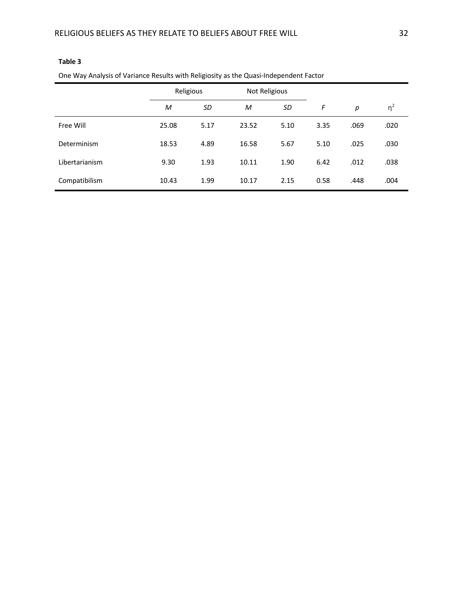| and the primitive of termined housing them houghously as the exact madpointent actor |           |      |               |      |      |      |          |
|--------------------------------------------------------------------------------------|-----------|------|---------------|------|------|------|----------|
|                                                                                      | Religious |      | Not Religious |      |      |      |          |
|                                                                                      | M         | SD   | M             | SD   | F    | р    | $\eta^2$ |
| Free Will                                                                            | 25.08     | 5.17 | 23.52         | 5.10 | 3.35 | .069 | .020     |
| Determinism                                                                          | 18.53     | 4.89 | 16.58         | 5.67 | 5.10 | .025 | .030     |
| Libertarianism                                                                       | 9.30      | 1.93 | 10.11         | 1.90 | 6.42 | .012 | .038     |
| Compatibilism                                                                        | 10.43     | 1.99 | 10.17         | 2.15 | 0.58 | .448 | .004     |

One Way Analysis of Variance Results with Religiosity as the Quasi-Independent Factor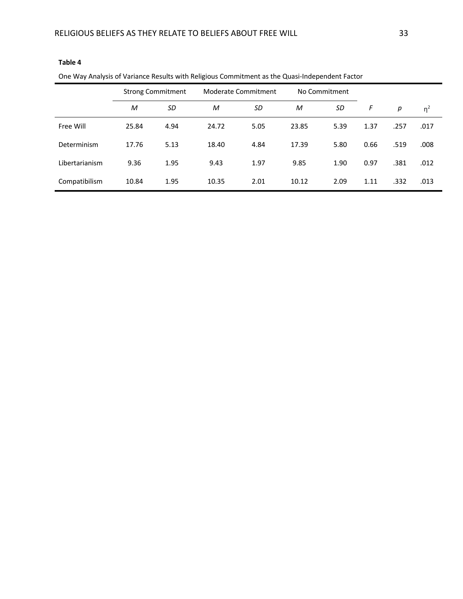| One Way Analysis of Variance Results with Religious Commitment as the Quasi-Independent Factor |                          |      |                            |      |               |      |      |      |          |
|------------------------------------------------------------------------------------------------|--------------------------|------|----------------------------|------|---------------|------|------|------|----------|
|                                                                                                | <b>Strong Commitment</b> |      | <b>Moderate Commitment</b> |      | No Commitment |      |      |      |          |
|                                                                                                | M                        | SD   | M                          | SD   | M             | SD   | F    | р    | $\eta^2$ |
| Free Will                                                                                      | 25.84                    | 4.94 | 24.72                      | 5.05 | 23.85         | 5.39 | 1.37 | .257 | .017     |
| Determinism                                                                                    | 17.76                    | 5.13 | 18.40                      | 4.84 | 17.39         | 5.80 | 0.66 | .519 | .008     |
| Libertarianism                                                                                 | 9.36                     | 1.95 | 9.43                       | 1.97 | 9.85          | 1.90 | 0.97 | .381 | .012     |
| Compatibilism                                                                                  | 10.84                    | 1.95 | 10.35                      | 2.01 | 10.12         | 2.09 | 1.11 | .332 | .013     |

One Way Analysis of Variance Results with Religious Commitment as the Quasi-Independent Factor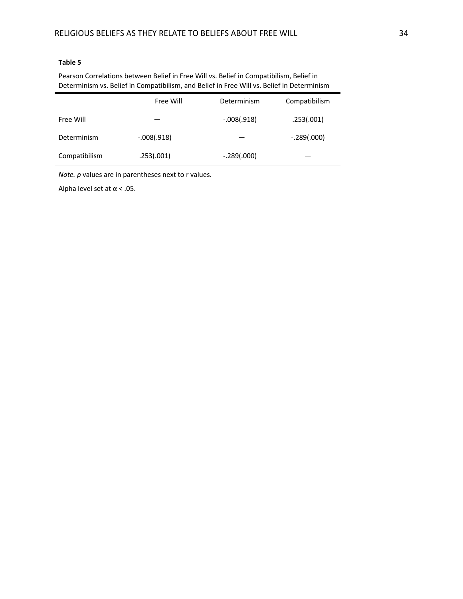Pearson Correlations between Belief in Free Will vs. Belief in Compatibilism, Belief in Determinism vs. Belief in Compatibilism, and Belief in Free Will vs. Belief in Determinism

|               | Free Will     | Determinism   | Compatibilism |
|---------------|---------------|---------------|---------------|
| Free Will     |               | $-.008(.918)$ | .253(.001)    |
| Determinism   | $-.008(.918)$ |               | $-.289(.000)$ |
| Compatibilism | .253(.001)    | $-.289(.000)$ |               |

*Note. p* values are in parentheses next to r values.

Alpha level set at  $\alpha$  < .05.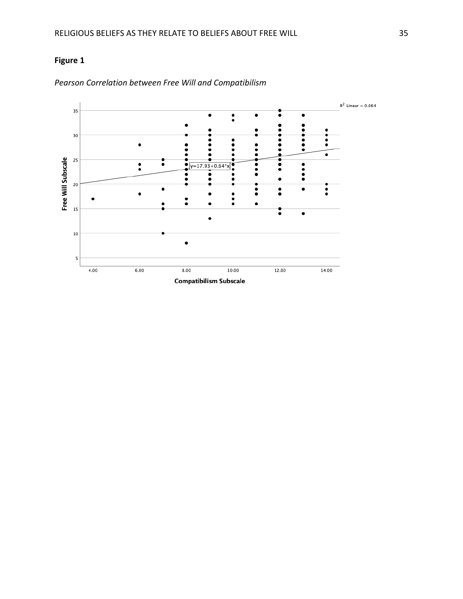## **Figure 1**



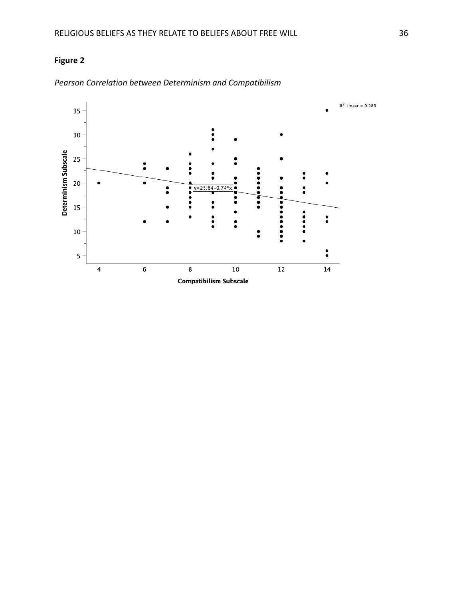## **Figure 2**



*Pearson Correlation between Determinism and Compatibilism*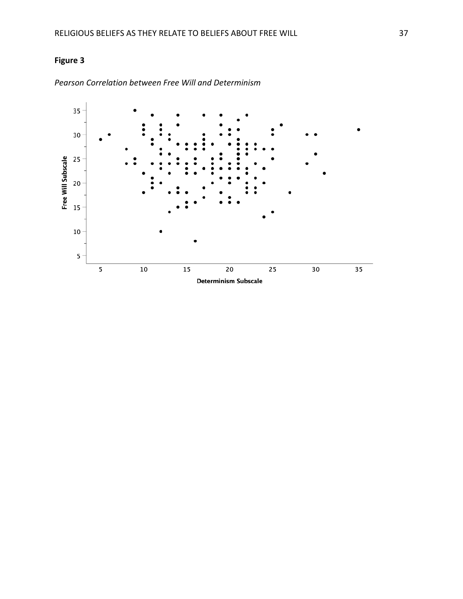## **Figure 3**



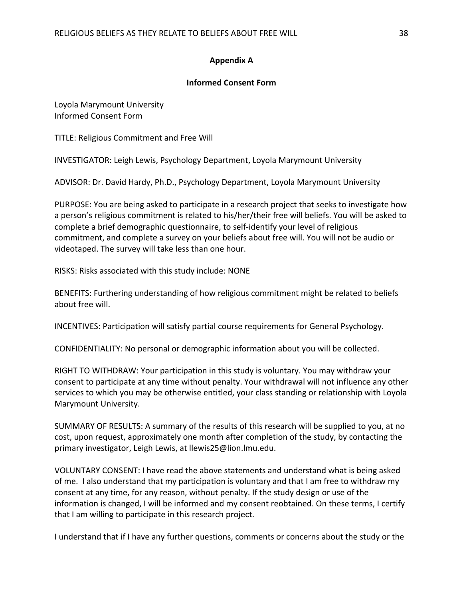### **Appendix A**

### **Informed Consent Form**

Loyola Marymount University Informed Consent Form

TITLE: Religious Commitment and Free Will

INVESTIGATOR: Leigh Lewis, Psychology Department, Loyola Marymount University

ADVISOR: Dr. David Hardy, Ph.D., Psychology Department, Loyola Marymount University

PURPOSE: You are being asked to participate in a research project that seeks to investigate how a person's religious commitment is related to his/her/their free will beliefs. You will be asked to complete a brief demographic questionnaire, to self-identify your level of religious commitment, and complete a survey on your beliefs about free will. You will not be audio or videotaped. The survey will take less than one hour.

RISKS: Risks associated with this study include: NONE

BENEFITS: Furthering understanding of how religious commitment might be related to beliefs about free will.

INCENTIVES: Participation will satisfy partial course requirements for General Psychology.

CONFIDENTIALITY: No personal or demographic information about you will be collected.

RIGHT TO WITHDRAW: Your participation in this study is voluntary. You may withdraw your consent to participate at any time without penalty. Your withdrawal will not influence any other services to which you may be otherwise entitled, your class standing or relationship with Loyola Marymount University.

SUMMARY OF RESULTS: A summary of the results of this research will be supplied to you, at no cost, upon request, approximately one month after completion of the study, by contacting the primary investigator, Leigh Lewis, at llewis25@lion.lmu.edu.

VOLUNTARY CONSENT: I have read the above statements and understand what is being asked of me. I also understand that my participation is voluntary and that I am free to withdraw my consent at any time, for any reason, without penalty. If the study design or use of the information is changed, I will be informed and my consent reobtained. On these terms, I certify that I am willing to participate in this research project.

I understand that if I have any further questions, comments or concerns about the study or the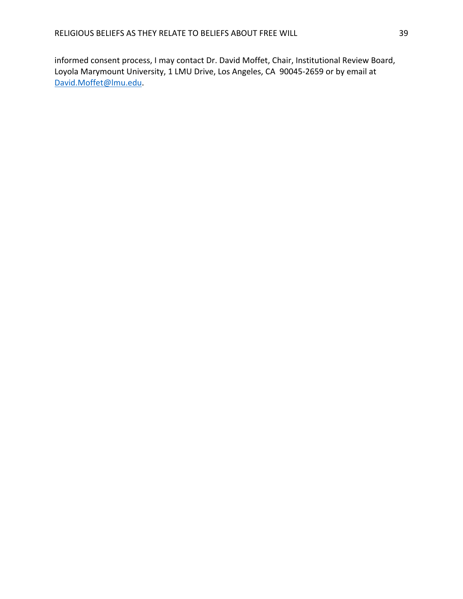informed consent process, I may contact Dr. David Moffet, Chair, Institutional Review Board, Loyola Marymount University, 1 LMU Drive, Los Angeles, CA 90045-2659 or by email at David.Moffet@lmu.edu.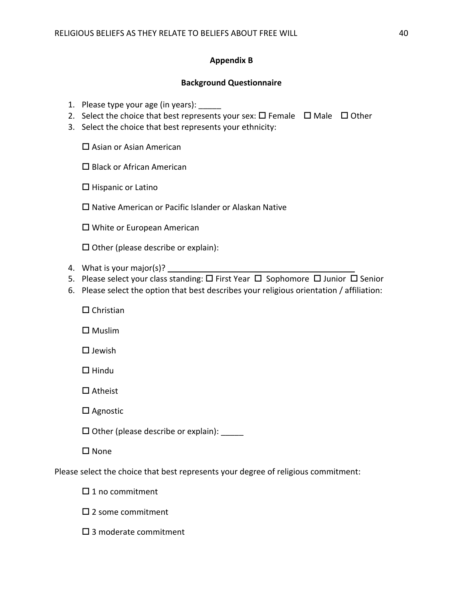### **Appendix B**

### **Background Questionnaire**

- 1. Please type your age (in years):
- 2. Select the choice that best represents your sex:  $\square$  Female  $\square$  Male  $\square$  Other
- 3. Select the choice that best represents your ethnicity:

 $\square$  Asian or Asian American

 $\square$  Black or African American

 $\square$  Hispanic or Latino

 $\square$  Native American or Pacific Islander or Alaskan Native

 $\square$  White or European American

 $\Box$  Other (please describe or explain):

- 4. What is your major(s)?  $\overline{\phantom{a}}$
- 5. Please select your class standing:  $\Box$  First Year  $\Box$  Sophomore  $\Box$  Junior  $\Box$  Senior
- 6. Please select the option that best describes your religious orientation / affiliation:
	- $\Box$  Christian

 $\square$  Muslim

 $\square$  Jewish

 $\Box$  Hindu

 $\square$  Atheist

 $\square$  Agnostic

 $\square$  Other (please describe or explain):  $\_{\_\_\_\_}$ 

 $\square$  None

Please select the choice that best represents your degree of religious commitment:

 $\square$  1 no commitment

 $\square$  2 some commitment

 $\square$  3 moderate commitment